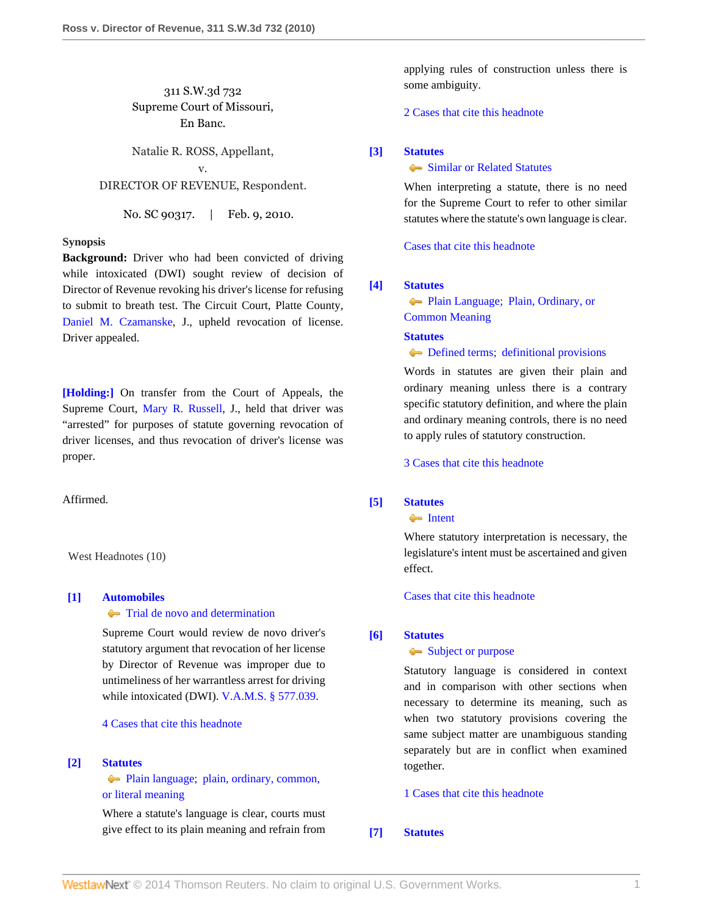# 311 S.W.3d 732 Supreme Court of Missouri, En Banc.

Natalie R. ROSS, Appellant,

## v. DIRECTOR OF REVENUE, Respondent.

No. SC 90317. | Feb. 9, 2010.

### **Synopsis**

**Background:** Driver who had been convicted of driving while intoxicated (DWI) sought review of decision of Director of Revenue revoking his driver's license for refusing to submit to breath test. The Circuit Court, Platte County, [Daniel M. Czamanske](http://www.westlaw.com/Link/Document/FullText?findType=h&pubNum=176284&cite=0236469701&originatingDoc=If2db76b3160911df8bf6cd8525c41437&refType=RQ&originationContext=document&vr=3.0&rs=cblt1.0&transitionType=DocumentItem&contextData=(sc.Search)), J., upheld revocation of license. Driver appealed.

**[\[Holding:\]](#page-1-0)** On transfer from the Court of Appeals, the Supreme Court, [Mary R. Russell](http://www.westlaw.com/Link/Document/FullText?findType=h&pubNum=176284&cite=0156065101&originatingDoc=If2db76b3160911df8bf6cd8525c41437&refType=RQ&originationContext=document&vr=3.0&rs=cblt1.0&transitionType=DocumentItem&contextData=(sc.Search)), J., held that driver was "arrested" for purposes of statute governing revocation of driver licenses, and thus revocation of driver's license was proper.

Affirmed.

West Headnotes (10)

# <span id="page-0-0"></span>**[\[1\]](#page-3-0) [Automobiles](http://www.westlaw.com/Browse/Home/KeyNumber/48A/View.html?docGuid=If2db76b3160911df8bf6cd8525c41437&originationContext=document&vr=3.0&rs=cblt1.0&transitionType=DocumentItem&contextData=(sc.Search))**

### $\rightarrow$  [Trial de novo and determination](http://www.westlaw.com/Browse/Home/KeyNumber/48Ak144.2(4)/View.html?docGuid=If2db76b3160911df8bf6cd8525c41437&originationContext=document&vr=3.0&rs=cblt1.0&transitionType=DocumentItem&contextData=(sc.Search))

Supreme Court would review de novo driver's statutory argument that revocation of her license by Director of Revenue was improper due to untimeliness of her warrantless arrest for driving while intoxicated (DWI). [V.A.M.S. § 577.039](http://www.westlaw.com/Link/Document/FullText?findType=L&pubNum=1000229&cite=MOST577.039&originatingDoc=If2db76b3160911df8bf6cd8525c41437&refType=LQ&originationContext=document&vr=3.0&rs=cblt1.0&transitionType=DocumentItem&contextData=(sc.Search)).

# [4 Cases that cite this headnote](http://www.westlaw.com/Link/RelatedInformation/DocHeadnoteLink?docGuid=If2db76b3160911df8bf6cd8525c41437&headnoteId=202132337200120130224084042&originationContext=document&vr=3.0&rs=cblt1.0&transitionType=CitingReferences&contextData=(sc.Search))

### <span id="page-0-1"></span>**[\[2\]](#page-3-1) [Statutes](http://www.westlaw.com/Browse/Home/KeyNumber/361/View.html?docGuid=If2db76b3160911df8bf6cd8525c41437&originationContext=document&vr=3.0&rs=cblt1.0&transitionType=DocumentItem&contextData=(sc.Search))**

[Plain language; plain, ordinary, common,](http://www.westlaw.com/Browse/Home/KeyNumber/361k1111/View.html?docGuid=If2db76b3160911df8bf6cd8525c41437&originationContext=document&vr=3.0&rs=cblt1.0&transitionType=DocumentItem&contextData=(sc.Search)) [or literal meaning](http://www.westlaw.com/Browse/Home/KeyNumber/361k1111/View.html?docGuid=If2db76b3160911df8bf6cd8525c41437&originationContext=document&vr=3.0&rs=cblt1.0&transitionType=DocumentItem&contextData=(sc.Search))

Where a statute's language is clear, courts must give effect to its plain meaning and refrain from

applying rules of construction unless there is some ambiguity.

### [2 Cases that cite this headnote](http://www.westlaw.com/Link/RelatedInformation/DocHeadnoteLink?docGuid=If2db76b3160911df8bf6cd8525c41437&headnoteId=202132337200220130224084042&originationContext=document&vr=3.0&rs=cblt1.0&transitionType=CitingReferences&contextData=(sc.Search))

## <span id="page-0-2"></span>**[\[3\]](#page-3-2) [Statutes](http://www.westlaw.com/Browse/Home/KeyNumber/361/View.html?docGuid=If2db76b3160911df8bf6cd8525c41437&originationContext=document&vr=3.0&rs=cblt1.0&transitionType=DocumentItem&contextData=(sc.Search))**

#### **[Similar or Related Statutes](http://www.westlaw.com/Browse/Home/KeyNumber/361k1216/View.html?docGuid=If2db76b3160911df8bf6cd8525c41437&originationContext=document&vr=3.0&rs=cblt1.0&transitionType=DocumentItem&contextData=(sc.Search))**

When interpreting a statute, there is no need for the Supreme Court to refer to other similar statutes where the statute's own language is clear.

[Cases that cite this headnote](http://www.westlaw.com/Link/RelatedInformation/DocHeadnoteLink?docGuid=If2db76b3160911df8bf6cd8525c41437&headnoteId=202132337200320130224084042&originationContext=document&vr=3.0&rs=cblt1.0&transitionType=CitingReferences&contextData=(sc.Search))

# <span id="page-0-3"></span>**[\[4\]](#page-3-3) [Statutes](http://www.westlaw.com/Browse/Home/KeyNumber/361/View.html?docGuid=If2db76b3160911df8bf6cd8525c41437&originationContext=document&vr=3.0&rs=cblt1.0&transitionType=DocumentItem&contextData=(sc.Search))**

[Plain Language; Plain, Ordinary, or](http://www.westlaw.com/Browse/Home/KeyNumber/361III(B)/View.html?docGuid=If2db76b3160911df8bf6cd8525c41437&originationContext=document&vr=3.0&rs=cblt1.0&transitionType=DocumentItem&contextData=(sc.Search)) [Common Meaning](http://www.westlaw.com/Browse/Home/KeyNumber/361III(B)/View.html?docGuid=If2db76b3160911df8bf6cd8525c41437&originationContext=document&vr=3.0&rs=cblt1.0&transitionType=DocumentItem&contextData=(sc.Search))

#### **[Statutes](http://www.westlaw.com/Browse/Home/KeyNumber/361/View.html?docGuid=If2db76b3160911df8bf6cd8525c41437&originationContext=document&vr=3.0&rs=cblt1.0&transitionType=DocumentItem&contextData=(sc.Search))**

#### $\blacktriangleright$  [Defined terms; definitional provisions](http://www.westlaw.com/Browse/Home/KeyNumber/361k1122/View.html?docGuid=If2db76b3160911df8bf6cd8525c41437&originationContext=document&vr=3.0&rs=cblt1.0&transitionType=DocumentItem&contextData=(sc.Search))

Words in statutes are given their plain and ordinary meaning unless there is a contrary specific statutory definition, and where the plain and ordinary meaning controls, there is no need to apply rules of statutory construction.

[3 Cases that cite this headnote](http://www.westlaw.com/Link/RelatedInformation/DocHeadnoteLink?docGuid=If2db76b3160911df8bf6cd8525c41437&headnoteId=202132337200420130224084042&originationContext=document&vr=3.0&rs=cblt1.0&transitionType=CitingReferences&contextData=(sc.Search))

### <span id="page-0-4"></span>**[\[5\]](#page-3-4) [Statutes](http://www.westlaw.com/Browse/Home/KeyNumber/361/View.html?docGuid=If2db76b3160911df8bf6cd8525c41437&originationContext=document&vr=3.0&rs=cblt1.0&transitionType=DocumentItem&contextData=(sc.Search))**

**[Intent](http://www.westlaw.com/Browse/Home/KeyNumber/361k1071/View.html?docGuid=If2db76b3160911df8bf6cd8525c41437&originationContext=document&vr=3.0&rs=cblt1.0&transitionType=DocumentItem&contextData=(sc.Search))** 

Where statutory interpretation is necessary, the legislature's intent must be ascertained and given effect.

[Cases that cite this headnote](http://www.westlaw.com/Link/RelatedInformation/DocHeadnoteLink?docGuid=If2db76b3160911df8bf6cd8525c41437&headnoteId=202132337200520130224084042&originationContext=document&vr=3.0&rs=cblt1.0&transitionType=CitingReferences&contextData=(sc.Search))

### <span id="page-0-5"></span>**[\[6\]](#page-3-5) [Statutes](http://www.westlaw.com/Browse/Home/KeyNumber/361/View.html?docGuid=If2db76b3160911df8bf6cd8525c41437&originationContext=document&vr=3.0&rs=cblt1.0&transitionType=DocumentItem&contextData=(sc.Search))**

### [Subject or purpose](http://www.westlaw.com/Browse/Home/KeyNumber/361k1216(2)/View.html?docGuid=If2db76b3160911df8bf6cd8525c41437&originationContext=document&vr=3.0&rs=cblt1.0&transitionType=DocumentItem&contextData=(sc.Search))

Statutory language is considered in context and in comparison with other sections when necessary to determine its meaning, such as when two statutory provisions covering the same subject matter are unambiguous standing separately but are in conflict when examined together.

[1 Cases that cite this headnote](http://www.westlaw.com/Link/RelatedInformation/DocHeadnoteLink?docGuid=If2db76b3160911df8bf6cd8525c41437&headnoteId=202132337200620130224084042&originationContext=document&vr=3.0&rs=cblt1.0&transitionType=CitingReferences&contextData=(sc.Search))

## <span id="page-0-6"></span>**[\[7\]](#page-3-6) [Statutes](http://www.westlaw.com/Browse/Home/KeyNumber/361/View.html?docGuid=If2db76b3160911df8bf6cd8525c41437&originationContext=document&vr=3.0&rs=cblt1.0&transitionType=DocumentItem&contextData=(sc.Search))**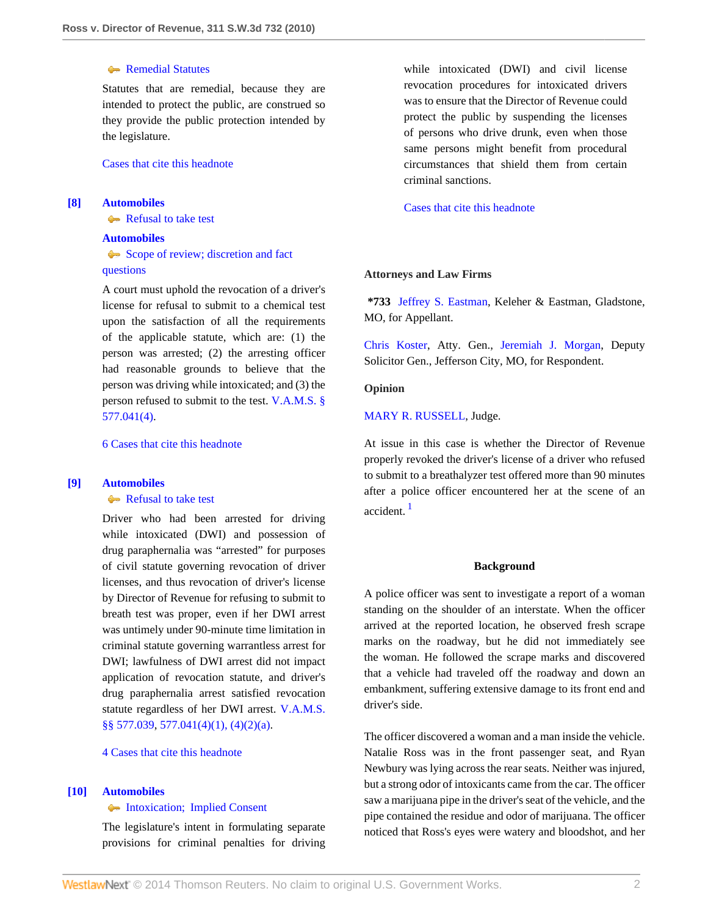## **[Remedial Statutes](http://www.westlaw.com/Browse/Home/KeyNumber/361k1306/View.html?docGuid=If2db76b3160911df8bf6cd8525c41437&originationContext=document&vr=3.0&rs=cblt1.0&transitionType=DocumentItem&contextData=(sc.Search))**

Statutes that are remedial, because they are intended to protect the public, are construed so they provide the public protection intended by the legislature.

[Cases that cite this headnote](http://www.westlaw.com/Link/RelatedInformation/DocHeadnoteLink?docGuid=If2db76b3160911df8bf6cd8525c41437&headnoteId=202132337200720130224084042&originationContext=document&vr=3.0&rs=cblt1.0&transitionType=CitingReferences&contextData=(sc.Search))

## <span id="page-1-1"></span>**[\[8\]](#page-3-7) [Automobiles](http://www.westlaw.com/Browse/Home/KeyNumber/48A/View.html?docGuid=If2db76b3160911df8bf6cd8525c41437&originationContext=document&vr=3.0&rs=cblt1.0&transitionType=DocumentItem&contextData=(sc.Search))**

[Refusal to take test](http://www.westlaw.com/Browse/Home/KeyNumber/48Ak144.1(1.20)/View.html?docGuid=If2db76b3160911df8bf6cd8525c41437&originationContext=document&vr=3.0&rs=cblt1.0&transitionType=DocumentItem&contextData=(sc.Search))

### **[Automobiles](http://www.westlaw.com/Browse/Home/KeyNumber/48A/View.html?docGuid=If2db76b3160911df8bf6cd8525c41437&originationContext=document&vr=3.0&rs=cblt1.0&transitionType=DocumentItem&contextData=(sc.Search))**

[Scope of review; discretion and fact](http://www.westlaw.com/Browse/Home/KeyNumber/48Ak144.2(3)/View.html?docGuid=If2db76b3160911df8bf6cd8525c41437&originationContext=document&vr=3.0&rs=cblt1.0&transitionType=DocumentItem&contextData=(sc.Search)) [questions](http://www.westlaw.com/Browse/Home/KeyNumber/48Ak144.2(3)/View.html?docGuid=If2db76b3160911df8bf6cd8525c41437&originationContext=document&vr=3.0&rs=cblt1.0&transitionType=DocumentItem&contextData=(sc.Search))

A court must uphold the revocation of a driver's license for refusal to submit to a chemical test upon the satisfaction of all the requirements of the applicable statute, which are: (1) the person was arrested; (2) the arresting officer had reasonable grounds to believe that the person was driving while intoxicated; and (3) the person refused to submit to the test. [V.A.M.S. §](http://www.westlaw.com/Link/Document/FullText?findType=L&pubNum=1000229&cite=MOST577.041&originatingDoc=If2db76b3160911df8bf6cd8525c41437&refType=LQ&originationContext=document&vr=3.0&rs=cblt1.0&transitionType=DocumentItem&contextData=(sc.Search)) [577.041\(4\).](http://www.westlaw.com/Link/Document/FullText?findType=L&pubNum=1000229&cite=MOST577.041&originatingDoc=If2db76b3160911df8bf6cd8525c41437&refType=LQ&originationContext=document&vr=3.0&rs=cblt1.0&transitionType=DocumentItem&contextData=(sc.Search))

[6 Cases that cite this headnote](http://www.westlaw.com/Link/RelatedInformation/DocHeadnoteLink?docGuid=If2db76b3160911df8bf6cd8525c41437&headnoteId=202132337200820130224084042&originationContext=document&vr=3.0&rs=cblt1.0&transitionType=CitingReferences&contextData=(sc.Search))

### <span id="page-1-0"></span>**[\[9\]](#page-3-8) [Automobiles](http://www.westlaw.com/Browse/Home/KeyNumber/48A/View.html?docGuid=If2db76b3160911df8bf6cd8525c41437&originationContext=document&vr=3.0&rs=cblt1.0&transitionType=DocumentItem&contextData=(sc.Search))**

[Refusal to take test](http://www.westlaw.com/Browse/Home/KeyNumber/48Ak144.1(1.20)/View.html?docGuid=If2db76b3160911df8bf6cd8525c41437&originationContext=document&vr=3.0&rs=cblt1.0&transitionType=DocumentItem&contextData=(sc.Search))

Driver who had been arrested for driving while intoxicated (DWI) and possession of drug paraphernalia was "arrested" for purposes of civil statute governing revocation of driver licenses, and thus revocation of driver's license by Director of Revenue for refusing to submit to breath test was proper, even if her DWI arrest was untimely under 90-minute time limitation in criminal statute governing warrantless arrest for DWI; lawfulness of DWI arrest did not impact application of revocation statute, and driver's drug paraphernalia arrest satisfied revocation statute regardless of her DWI arrest. [V.A.M.S.](http://www.westlaw.com/Link/Document/FullText?findType=L&pubNum=1000229&cite=MOST577.039&originatingDoc=If2db76b3160911df8bf6cd8525c41437&refType=LQ&originationContext=document&vr=3.0&rs=cblt1.0&transitionType=DocumentItem&contextData=(sc.Search)) [§§ 577.039,](http://www.westlaw.com/Link/Document/FullText?findType=L&pubNum=1000229&cite=MOST577.039&originatingDoc=If2db76b3160911df8bf6cd8525c41437&refType=LQ&originationContext=document&vr=3.0&rs=cblt1.0&transitionType=DocumentItem&contextData=(sc.Search)) [577.041\(4\)\(1\), \(4\)\(2\)\(a\).](http://www.westlaw.com/Link/Document/FullText?findType=L&pubNum=1000229&cite=MOST577.041&originatingDoc=If2db76b3160911df8bf6cd8525c41437&refType=LQ&originationContext=document&vr=3.0&rs=cblt1.0&transitionType=DocumentItem&contextData=(sc.Search))

[4 Cases that cite this headnote](http://www.westlaw.com/Link/RelatedInformation/DocHeadnoteLink?docGuid=If2db76b3160911df8bf6cd8525c41437&headnoteId=202132337200920130224084042&originationContext=document&vr=3.0&rs=cblt1.0&transitionType=CitingReferences&contextData=(sc.Search))

### <span id="page-1-2"></span>**[\[10\]](#page-3-9) [Automobiles](http://www.westlaw.com/Browse/Home/KeyNumber/48A/View.html?docGuid=If2db76b3160911df8bf6cd8525c41437&originationContext=document&vr=3.0&rs=cblt1.0&transitionType=DocumentItem&contextData=(sc.Search))**

#### **Intoxication**; Implied Consent

The legislature's intent in formulating separate provisions for criminal penalties for driving while intoxicated (DWI) and civil license revocation procedures for intoxicated drivers was to ensure that the Director of Revenue could protect the public by suspending the licenses of persons who drive drunk, even when those same persons might benefit from procedural circumstances that shield them from certain criminal sanctions.

[Cases that cite this headnote](http://www.westlaw.com/Link/RelatedInformation/DocHeadnoteLink?docGuid=If2db76b3160911df8bf6cd8525c41437&headnoteId=202132337201020130224084042&originationContext=document&vr=3.0&rs=cblt1.0&transitionType=CitingReferences&contextData=(sc.Search))

#### **Attorneys and Law Firms**

**\*733** [Jeffrey S. Eastman,](http://www.westlaw.com/Link/Document/FullText?findType=h&pubNum=176284&cite=0155918901&originatingDoc=If2db76b3160911df8bf6cd8525c41437&refType=RQ&originationContext=document&vr=3.0&rs=cblt1.0&transitionType=DocumentItem&contextData=(sc.Search)) Keleher & Eastman, Gladstone, MO, for Appellant.

[Chris Koster,](http://www.westlaw.com/Link/Document/FullText?findType=h&pubNum=176284&cite=0369913201&originatingDoc=If2db76b3160911df8bf6cd8525c41437&refType=RQ&originationContext=document&vr=3.0&rs=cblt1.0&transitionType=DocumentItem&contextData=(sc.Search)) Atty. Gen., [Jeremiah J. Morgan,](http://www.westlaw.com/Link/Document/FullText?findType=h&pubNum=176284&cite=0330277001&originatingDoc=If2db76b3160911df8bf6cd8525c41437&refType=RQ&originationContext=document&vr=3.0&rs=cblt1.0&transitionType=DocumentItem&contextData=(sc.Search)) Deputy Solicitor Gen., Jefferson City, MO, for Respondent.

### **Opinion**

[MARY R. RUSSELL,](http://www.westlaw.com/Link/Document/FullText?findType=h&pubNum=176284&cite=0156065101&originatingDoc=If2db76b3160911df8bf6cd8525c41437&refType=RQ&originationContext=document&vr=3.0&rs=cblt1.0&transitionType=DocumentItem&contextData=(sc.Search)) Judge.

<span id="page-1-3"></span>At issue in this case is whether the Director of Revenue properly revoked the driver's license of a driver who refused to submit to a breathalyzer test offered more than 90 minutes after a police officer encountered her at the scene of an accident. [1](#page-4-0)

#### **Background**

A police officer was sent to investigate a report of a woman standing on the shoulder of an interstate. When the officer arrived at the reported location, he observed fresh scrape marks on the roadway, but he did not immediately see the woman. He followed the scrape marks and discovered that a vehicle had traveled off the roadway and down an embankment, suffering extensive damage to its front end and driver's side.

The officer discovered a woman and a man inside the vehicle. Natalie Ross was in the front passenger seat, and Ryan Newbury was lying across the rear seats. Neither was injured, but a strong odor of intoxicants came from the car. The officer saw a marijuana pipe in the driver's seat of the vehicle, and the pipe contained the residue and odor of marijuana. The officer noticed that Ross's eyes were watery and bloodshot, and her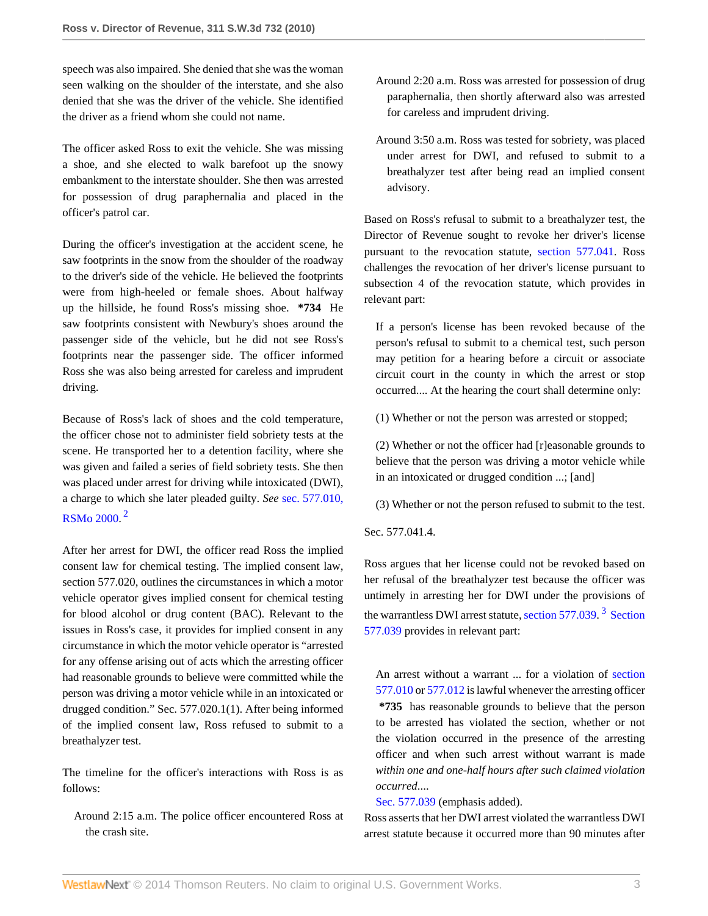speech was also impaired. She denied that she was the woman seen walking on the shoulder of the interstate, and she also denied that she was the driver of the vehicle. She identified the driver as a friend whom she could not name.

The officer asked Ross to exit the vehicle. She was missing a shoe, and she elected to walk barefoot up the snowy embankment to the interstate shoulder. She then was arrested for possession of drug paraphernalia and placed in the officer's patrol car.

During the officer's investigation at the accident scene, he saw footprints in the snow from the shoulder of the roadway to the driver's side of the vehicle. He believed the footprints were from high-heeled or female shoes. About halfway up the hillside, he found Ross's missing shoe. **\*734** He saw footprints consistent with Newbury's shoes around the passenger side of the vehicle, but he did not see Ross's footprints near the passenger side. The officer informed Ross she was also being arrested for careless and imprudent driving.

Because of Ross's lack of shoes and the cold temperature, the officer chose not to administer field sobriety tests at the scene. He transported her to a detention facility, where she was given and failed a series of field sobriety tests. She then was placed under arrest for driving while intoxicated (DWI), a charge to which she later pleaded guilty. *See* [sec. 577.010,](http://www.westlaw.com/Link/Document/FullText?findType=L&pubNum=1000229&cite=MOST577.010&originatingDoc=If2db76b3160911df8bf6cd8525c41437&refType=LQ&originationContext=document&vr=3.0&rs=cblt1.0&transitionType=DocumentItem&contextData=(sc.Search)) [RSMo 2000.](http://www.westlaw.com/Link/Document/FullText?findType=L&pubNum=1000229&cite=MOST577.010&originatingDoc=If2db76b3160911df8bf6cd8525c41437&refType=LQ&originationContext=document&vr=3.0&rs=cblt1.0&transitionType=DocumentItem&contextData=(sc.Search)) [2](#page-4-1)

<span id="page-2-0"></span>After her arrest for DWI, the officer read Ross the implied consent law for chemical testing. The implied consent law, section 577.020, outlines the circumstances in which a motor vehicle operator gives implied consent for chemical testing for blood alcohol or drug content (BAC). Relevant to the issues in Ross's case, it provides for implied consent in any circumstance in which the motor vehicle operator is "arrested for any offense arising out of acts which the arresting officer had reasonable grounds to believe were committed while the person was driving a motor vehicle while in an intoxicated or drugged condition." Sec. 577.020.1(1). After being informed of the implied consent law, Ross refused to submit to a breathalyzer test.

The timeline for the officer's interactions with Ross is as follows:

Around 2:15 a.m. The police officer encountered Ross at the crash site.

- Around 2:20 a.m. Ross was arrested for possession of drug paraphernalia, then shortly afterward also was arrested for careless and imprudent driving.
- Around 3:50 a.m. Ross was tested for sobriety, was placed under arrest for DWI, and refused to submit to a breathalyzer test after being read an implied consent advisory.

Based on Ross's refusal to submit to a breathalyzer test, the Director of Revenue sought to revoke her driver's license pursuant to the revocation statute, [section 577.041](http://www.westlaw.com/Link/Document/FullText?findType=L&pubNum=1000229&cite=MOST577.041&originatingDoc=If2db76b3160911df8bf6cd8525c41437&refType=LQ&originationContext=document&vr=3.0&rs=cblt1.0&transitionType=DocumentItem&contextData=(sc.Search)). Ross challenges the revocation of her driver's license pursuant to subsection 4 of the revocation statute, which provides in relevant part:

If a person's license has been revoked because of the person's refusal to submit to a chemical test, such person may petition for a hearing before a circuit or associate circuit court in the county in which the arrest or stop occurred.... At the hearing the court shall determine only:

(1) Whether or not the person was arrested or stopped;

(2) Whether or not the officer had [r]easonable grounds to believe that the person was driving a motor vehicle while in an intoxicated or drugged condition ...; [and]

(3) Whether or not the person refused to submit to the test.

Sec. 577.041.4.

Ross argues that her license could not be revoked based on her refusal of the breathalyzer test because the officer was untimely in arresting her for DWI under the provisions of the warrantless DWI arrest statute, [section 577.039](http://www.westlaw.com/Link/Document/FullText?findType=L&pubNum=1000229&cite=MOST577.039&originatingDoc=If2db76b3160911df8bf6cd8525c41437&refType=LQ&originationContext=document&vr=3.0&rs=cblt1.0&transitionType=DocumentItem&contextData=(sc.Search)).<sup>[3](#page-4-2)</sup> [Section](http://www.westlaw.com/Link/Document/FullText?findType=L&pubNum=1000229&cite=MOST577.039&originatingDoc=If2db76b3160911df8bf6cd8525c41437&refType=LQ&originationContext=document&vr=3.0&rs=cblt1.0&transitionType=DocumentItem&contextData=(sc.Search)) [577.039](http://www.westlaw.com/Link/Document/FullText?findType=L&pubNum=1000229&cite=MOST577.039&originatingDoc=If2db76b3160911df8bf6cd8525c41437&refType=LQ&originationContext=document&vr=3.0&rs=cblt1.0&transitionType=DocumentItem&contextData=(sc.Search)) provides in relevant part:

<span id="page-2-1"></span>An arrest without a warrant ... for a violation of [section](http://www.westlaw.com/Link/Document/FullText?findType=L&pubNum=1000229&cite=MOST577.010&originatingDoc=If2db76b3160911df8bf6cd8525c41437&refType=LQ&originationContext=document&vr=3.0&rs=cblt1.0&transitionType=DocumentItem&contextData=(sc.Search)) [577.010](http://www.westlaw.com/Link/Document/FullText?findType=L&pubNum=1000229&cite=MOST577.010&originatingDoc=If2db76b3160911df8bf6cd8525c41437&refType=LQ&originationContext=document&vr=3.0&rs=cblt1.0&transitionType=DocumentItem&contextData=(sc.Search)) or [577.012](http://www.westlaw.com/Link/Document/FullText?findType=L&pubNum=1000229&cite=MOST577.012&originatingDoc=If2db76b3160911df8bf6cd8525c41437&refType=LQ&originationContext=document&vr=3.0&rs=cblt1.0&transitionType=DocumentItem&contextData=(sc.Search)) is lawful whenever the arresting officer **\*735** has reasonable grounds to believe that the person to be arrested has violated the section, whether or not the violation occurred in the presence of the arresting officer and when such arrest without warrant is made *within one and one-half hours after such claimed violation occurred*....

[Sec. 577.039](http://www.westlaw.com/Link/Document/FullText?findType=L&pubNum=1000229&cite=MOST577.039&originatingDoc=If2db76b3160911df8bf6cd8525c41437&refType=LQ&originationContext=document&vr=3.0&rs=cblt1.0&transitionType=DocumentItem&contextData=(sc.Search)) (emphasis added).

Ross asserts that her DWI arrest violated the warrantless DWI arrest statute because it occurred more than 90 minutes after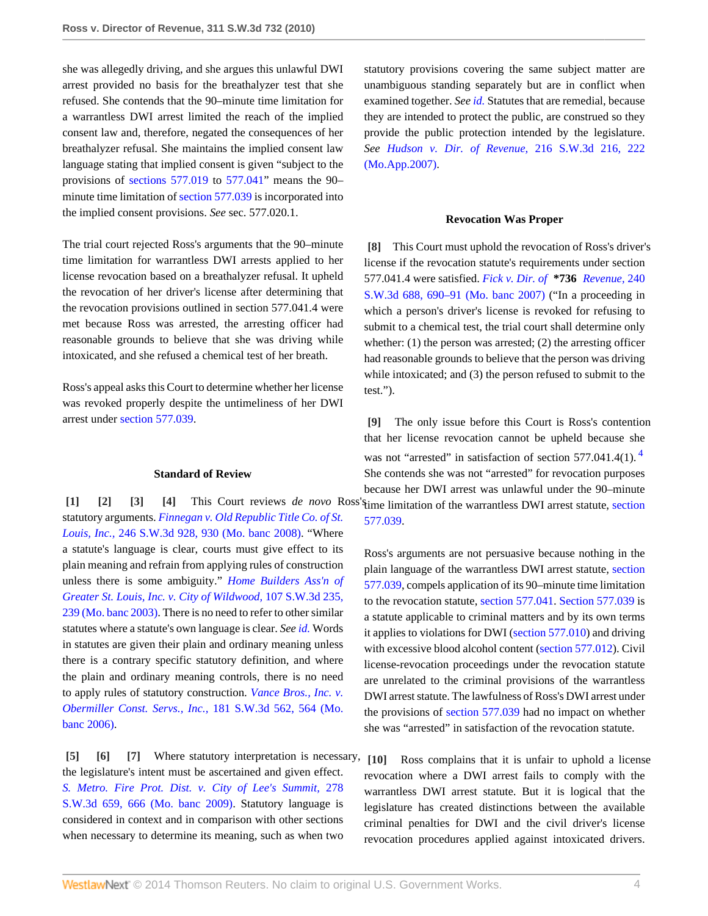she was allegedly driving, and she argues this unlawful DWI arrest provided no basis for the breathalyzer test that she refused. She contends that the 90–minute time limitation for a warrantless DWI arrest limited the reach of the implied consent law and, therefore, negated the consequences of her breathalyzer refusal. She maintains the implied consent law language stating that implied consent is given "subject to the provisions of [sections 577.019](http://www.westlaw.com/Link/Document/FullText?findType=L&pubNum=1000229&cite=MOST577.019&originatingDoc=If2db76b3160911df8bf6cd8525c41437&refType=LQ&originationContext=document&vr=3.0&rs=cblt1.0&transitionType=DocumentItem&contextData=(sc.Search)) to [577.041](http://www.westlaw.com/Link/Document/FullText?findType=L&pubNum=1000229&cite=MOST577.041&originatingDoc=If2db76b3160911df8bf6cd8525c41437&refType=LQ&originationContext=document&vr=3.0&rs=cblt1.0&transitionType=DocumentItem&contextData=(sc.Search))" means the 90– minute time limitation of [section 577.039](http://www.westlaw.com/Link/Document/FullText?findType=L&pubNum=1000229&cite=MOST577.039&originatingDoc=If2db76b3160911df8bf6cd8525c41437&refType=LQ&originationContext=document&vr=3.0&rs=cblt1.0&transitionType=DocumentItem&contextData=(sc.Search)) is incorporated into the implied consent provisions. *See* sec. 577.020.1.

The trial court rejected Ross's arguments that the 90–minute time limitation for warrantless DWI arrests applied to her license revocation based on a breathalyzer refusal. It upheld the revocation of her driver's license after determining that the revocation provisions outlined in section 577.041.4 were met because Ross was arrested, the arresting officer had reasonable grounds to believe that she was driving while intoxicated, and she refused a chemical test of her breath.

Ross's appeal asks this Court to determine whether her license was revoked properly despite the untimeliness of her DWI arrest under [section 577.039](http://www.westlaw.com/Link/Document/FullText?findType=L&pubNum=1000229&cite=MOST577.039&originatingDoc=If2db76b3160911df8bf6cd8525c41437&refType=LQ&originationContext=document&vr=3.0&rs=cblt1.0&transitionType=DocumentItem&contextData=(sc.Search)).

### <span id="page-3-3"></span><span id="page-3-2"></span><span id="page-3-1"></span>**Standard of Review**

<span id="page-3-0"></span>statutory arguments. *[Finnegan v. Old Republic Title Co. of St.](http://www.westlaw.com/Link/Document/FullText?findType=Y&serNum=2015511688&pubNum=4644&fi=co_pp_sp_4644_930&originationContext=document&vr=3.0&rs=cblt1.0&transitionType=DocumentItem&contextData=(sc.Search)#co_pp_sp_4644_930) Louis, Inc.,* [246 S.W.3d 928, 930 \(Mo. banc 2008\)](http://www.westlaw.com/Link/Document/FullText?findType=Y&serNum=2015511688&pubNum=4644&fi=co_pp_sp_4644_930&originationContext=document&vr=3.0&rs=cblt1.0&transitionType=DocumentItem&contextData=(sc.Search)#co_pp_sp_4644_930). "Where a statute's language is clear, courts must give effect to its plain meaning and refrain from applying rules of construction unless there is some ambiguity." *[Home Builders Ass'n of](http://www.westlaw.com/Link/Document/FullText?findType=Y&serNum=2003430475&pubNum=4644&fi=co_pp_sp_4644_239&originationContext=document&vr=3.0&rs=cblt1.0&transitionType=DocumentItem&contextData=(sc.Search)#co_pp_sp_4644_239) [Greater St. Louis, Inc. v. City of Wildwood,](http://www.westlaw.com/Link/Document/FullText?findType=Y&serNum=2003430475&pubNum=4644&fi=co_pp_sp_4644_239&originationContext=document&vr=3.0&rs=cblt1.0&transitionType=DocumentItem&contextData=(sc.Search)#co_pp_sp_4644_239)* 107 S.W.3d 235, [239 \(Mo. banc 2003\)](http://www.westlaw.com/Link/Document/FullText?findType=Y&serNum=2003430475&pubNum=4644&fi=co_pp_sp_4644_239&originationContext=document&vr=3.0&rs=cblt1.0&transitionType=DocumentItem&contextData=(sc.Search)#co_pp_sp_4644_239). There is no need to refer to other similar statutes where a statute's own language is clear. *See [id.](http://www.westlaw.com/Link/Document/FullText?findType=Y&serNum=2003430475&originationContext=document&vr=3.0&rs=cblt1.0&transitionType=DocumentItem&contextData=(sc.Search))* Words in statutes are given their plain and ordinary meaning unless there is a contrary specific statutory definition, and where the plain and ordinary meaning controls, there is no need to apply rules of statutory construction. *[Vance Bros., Inc. v.](http://www.westlaw.com/Link/Document/FullText?findType=Y&serNum=2008117025&pubNum=4644&fi=co_pp_sp_4644_564&originationContext=document&vr=3.0&rs=cblt1.0&transitionType=DocumentItem&contextData=(sc.Search)#co_pp_sp_4644_564) [Obermiller Const. Servs., Inc.,](http://www.westlaw.com/Link/Document/FullText?findType=Y&serNum=2008117025&pubNum=4644&fi=co_pp_sp_4644_564&originationContext=document&vr=3.0&rs=cblt1.0&transitionType=DocumentItem&contextData=(sc.Search)#co_pp_sp_4644_564)* 181 S.W.3d 562, 564 (Mo. [banc 2006\).](http://www.westlaw.com/Link/Document/FullText?findType=Y&serNum=2008117025&pubNum=4644&fi=co_pp_sp_4644_564&originationContext=document&vr=3.0&rs=cblt1.0&transitionType=DocumentItem&contextData=(sc.Search)#co_pp_sp_4644_564)

<span id="page-3-6"></span><span id="page-3-5"></span><span id="page-3-4"></span>**[\[5\]](#page-0-4) [\[6\]](#page-0-5) [\[7\]](#page-0-6)** Where statutory interpretation is necessary, the legislature's intent must be ascertained and given effect. *[S. Metro. Fire Prot. Dist. v. City of Lee's Summit,](http://www.westlaw.com/Link/Document/FullText?findType=Y&serNum=2018381208&pubNum=4644&fi=co_pp_sp_4644_666&originationContext=document&vr=3.0&rs=cblt1.0&transitionType=DocumentItem&contextData=(sc.Search)#co_pp_sp_4644_666)* 278 [S.W.3d 659, 666 \(Mo. banc 2009\)](http://www.westlaw.com/Link/Document/FullText?findType=Y&serNum=2018381208&pubNum=4644&fi=co_pp_sp_4644_666&originationContext=document&vr=3.0&rs=cblt1.0&transitionType=DocumentItem&contextData=(sc.Search)#co_pp_sp_4644_666). Statutory language is considered in context and in comparison with other sections when necessary to determine its meaning, such as when two

statutory provisions covering the same subject matter are unambiguous standing separately but are in conflict when examined together. *See [id.](http://www.westlaw.com/Link/Document/FullText?findType=Y&serNum=2018381208&originationContext=document&vr=3.0&rs=cblt1.0&transitionType=DocumentItem&contextData=(sc.Search))* Statutes that are remedial, because they are intended to protect the public, are construed so they provide the public protection intended by the legislature. *See [Hudson v. Dir. of Revenue,](http://www.westlaw.com/Link/Document/FullText?findType=Y&serNum=2011604453&pubNum=4644&fi=co_pp_sp_4644_222&originationContext=document&vr=3.0&rs=cblt1.0&transitionType=DocumentItem&contextData=(sc.Search)#co_pp_sp_4644_222)* 216 S.W.3d 216, 222 [\(Mo.App.2007\).](http://www.westlaw.com/Link/Document/FullText?findType=Y&serNum=2011604453&pubNum=4644&fi=co_pp_sp_4644_222&originationContext=document&vr=3.0&rs=cblt1.0&transitionType=DocumentItem&contextData=(sc.Search)#co_pp_sp_4644_222)

#### **Revocation Was Proper**

<span id="page-3-7"></span>**[\[8\]](#page-1-1)** This Court must uphold the revocation of Ross's driver's license if the revocation statute's requirements under section 577.041.4 were satisfied. *[Fick v. Dir. of](http://www.westlaw.com/Link/Document/FullText?findType=Y&serNum=2014387174&pubNum=4644&fi=co_pp_sp_4644_690&originationContext=document&vr=3.0&rs=cblt1.0&transitionType=DocumentItem&contextData=(sc.Search)#co_pp_sp_4644_690)* **\*736** *Revenue,* 240 [S.W.3d 688, 690–91 \(Mo. banc 2007\)](http://www.westlaw.com/Link/Document/FullText?findType=Y&serNum=2014387174&pubNum=4644&fi=co_pp_sp_4644_690&originationContext=document&vr=3.0&rs=cblt1.0&transitionType=DocumentItem&contextData=(sc.Search)#co_pp_sp_4644_690) ("In a proceeding in which a person's driver's license is revoked for refusing to submit to a chemical test, the trial court shall determine only whether: (1) the person was arrested; (2) the arresting officer had reasonable grounds to believe that the person was driving while intoxicated; and (3) the person refused to submit to the test.").

**[\[1\]](#page-0-0) [\[2\]](#page-0-1) [\[3](#page-0-2)] [\[4\]](#page-0-3)** This Court reviews *de novo* Ross's time limitation of the warrantless DWI arrest statute, [section](http://www.westlaw.com/Link/Document/FullText?findType=L&pubNum=1000229&cite=MOST577.039&originatingDoc=If2db76b3160911df8bf6cd8525c41437&refType=LQ&originationContext=document&vr=3.0&rs=cblt1.0&transitionType=DocumentItem&contextData=(sc.Search)) **[\[9\]](#page-1-0)** The only issue before this Court is Ross's contention that her license revocation cannot be upheld because she was not "arrested" in satisfaction of section 577.0[4](#page-4-3)1.4(1).<sup>4</sup> She contends she was not "arrested" for revocation purposes because her DWI arrest was unlawful under the 90–minute [577.039.](http://www.westlaw.com/Link/Document/FullText?findType=L&pubNum=1000229&cite=MOST577.039&originatingDoc=If2db76b3160911df8bf6cd8525c41437&refType=LQ&originationContext=document&vr=3.0&rs=cblt1.0&transitionType=DocumentItem&contextData=(sc.Search))

> <span id="page-3-10"></span><span id="page-3-8"></span>Ross's arguments are not persuasive because nothing in the plain language of the warrantless DWI arrest statute, [section](http://www.westlaw.com/Link/Document/FullText?findType=L&pubNum=1000229&cite=MOST577.039&originatingDoc=If2db76b3160911df8bf6cd8525c41437&refType=LQ&originationContext=document&vr=3.0&rs=cblt1.0&transitionType=DocumentItem&contextData=(sc.Search)) [577.039,](http://www.westlaw.com/Link/Document/FullText?findType=L&pubNum=1000229&cite=MOST577.039&originatingDoc=If2db76b3160911df8bf6cd8525c41437&refType=LQ&originationContext=document&vr=3.0&rs=cblt1.0&transitionType=DocumentItem&contextData=(sc.Search)) compels application of its 90–minute time limitation to the revocation statute, [section 577.041.](http://www.westlaw.com/Link/Document/FullText?findType=L&pubNum=1000229&cite=MOST577.041&originatingDoc=If2db76b3160911df8bf6cd8525c41437&refType=LQ&originationContext=document&vr=3.0&rs=cblt1.0&transitionType=DocumentItem&contextData=(sc.Search)) [Section 577.039](http://www.westlaw.com/Link/Document/FullText?findType=L&pubNum=1000229&cite=MOST577.039&originatingDoc=If2db76b3160911df8bf6cd8525c41437&refType=LQ&originationContext=document&vr=3.0&rs=cblt1.0&transitionType=DocumentItem&contextData=(sc.Search)) is a statute applicable to criminal matters and by its own terms it applies to violations for DWI [\(section 577.010](http://www.westlaw.com/Link/Document/FullText?findType=L&pubNum=1000229&cite=MOST577.010&originatingDoc=If2db76b3160911df8bf6cd8525c41437&refType=LQ&originationContext=document&vr=3.0&rs=cblt1.0&transitionType=DocumentItem&contextData=(sc.Search))) and driving with excessive blood alcohol content ([section 577.012\)](http://www.westlaw.com/Link/Document/FullText?findType=L&pubNum=1000229&cite=MOST577.012&originatingDoc=If2db76b3160911df8bf6cd8525c41437&refType=LQ&originationContext=document&vr=3.0&rs=cblt1.0&transitionType=DocumentItem&contextData=(sc.Search)). Civil license-revocation proceedings under the revocation statute are unrelated to the criminal provisions of the warrantless DWI arrest statute. The lawfulness of Ross's DWI arrest under the provisions of [section 577.039](http://www.westlaw.com/Link/Document/FullText?findType=L&pubNum=1000229&cite=MOST577.039&originatingDoc=If2db76b3160911df8bf6cd8525c41437&refType=LQ&originationContext=document&vr=3.0&rs=cblt1.0&transitionType=DocumentItem&contextData=(sc.Search)) had no impact on whether she was "arrested" in satisfaction of the revocation statute.

<span id="page-3-9"></span>**[\[10\]](#page-1-2)** Ross complains that it is unfair to uphold a license revocation where a DWI arrest fails to comply with the warrantless DWI arrest statute. But it is logical that the legislature has created distinctions between the available criminal penalties for DWI and the civil driver's license revocation procedures applied against intoxicated drivers.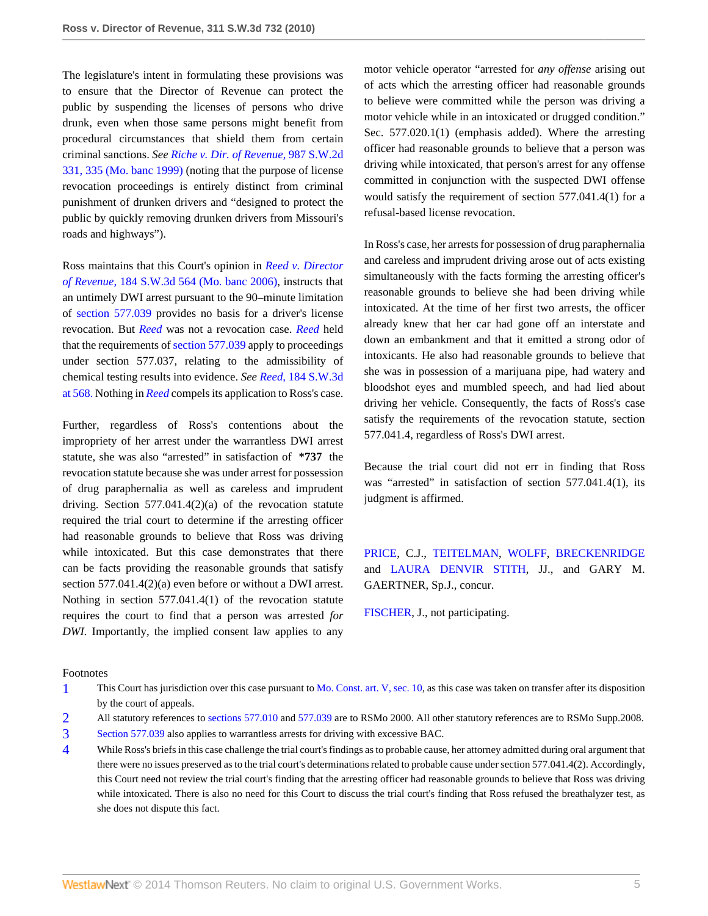The legislature's intent in formulating these provisions was to ensure that the Director of Revenue can protect the public by suspending the licenses of persons who drive drunk, even when those same persons might benefit from procedural circumstances that shield them from certain criminal sanctions. *See [Riche v. Dir. of Revenue,](http://www.westlaw.com/Link/Document/FullText?findType=Y&serNum=1999061871&pubNum=713&fi=co_pp_sp_713_335&originationContext=document&vr=3.0&rs=cblt1.0&transitionType=DocumentItem&contextData=(sc.Search)#co_pp_sp_713_335)* 987 S.W.2d [331, 335 \(Mo. banc 1999\)](http://www.westlaw.com/Link/Document/FullText?findType=Y&serNum=1999061871&pubNum=713&fi=co_pp_sp_713_335&originationContext=document&vr=3.0&rs=cblt1.0&transitionType=DocumentItem&contextData=(sc.Search)#co_pp_sp_713_335) (noting that the purpose of license revocation proceedings is entirely distinct from criminal punishment of drunken drivers and "designed to protect the public by quickly removing drunken drivers from Missouri's roads and highways").

Ross maintains that this Court's opinion in *[Reed v. Director](http://www.westlaw.com/Link/Document/FullText?findType=Y&serNum=2008409685&pubNum=4644&originationContext=document&vr=3.0&rs=cblt1.0&transitionType=DocumentItem&contextData=(sc.Search)) of Revenue,* [184 S.W.3d 564 \(Mo. banc 2006\),](http://www.westlaw.com/Link/Document/FullText?findType=Y&serNum=2008409685&pubNum=4644&originationContext=document&vr=3.0&rs=cblt1.0&transitionType=DocumentItem&contextData=(sc.Search)) instructs that an untimely DWI arrest pursuant to the 90–minute limitation of [section 577.039](http://www.westlaw.com/Link/Document/FullText?findType=L&pubNum=1000229&cite=MOST577.039&originatingDoc=If2db76b3160911df8bf6cd8525c41437&refType=LQ&originationContext=document&vr=3.0&rs=cblt1.0&transitionType=DocumentItem&contextData=(sc.Search)) provides no basis for a driver's license revocation. But *[Reed](http://www.westlaw.com/Link/Document/FullText?findType=Y&serNum=2008409685&originationContext=document&vr=3.0&rs=cblt1.0&transitionType=DocumentItem&contextData=(sc.Search))* was not a revocation case. *[Reed](http://www.westlaw.com/Link/Document/FullText?findType=Y&serNum=2008409685&originationContext=document&vr=3.0&rs=cblt1.0&transitionType=DocumentItem&contextData=(sc.Search))* held that the requirements of [section 577.039](http://www.westlaw.com/Link/Document/FullText?findType=L&pubNum=1000229&cite=MOST577.039&originatingDoc=If2db76b3160911df8bf6cd8525c41437&refType=LQ&originationContext=document&vr=3.0&rs=cblt1.0&transitionType=DocumentItem&contextData=(sc.Search)) apply to proceedings under section 577.037, relating to the admissibility of chemical testing results into evidence. *See Reed,* [184 S.W.3d](http://www.westlaw.com/Link/Document/FullText?findType=Y&serNum=2008409685&pubNum=4644&fi=co_pp_sp_4644_568&originationContext=document&vr=3.0&rs=cblt1.0&transitionType=DocumentItem&contextData=(sc.Search)#co_pp_sp_4644_568) [at 568.](http://www.westlaw.com/Link/Document/FullText?findType=Y&serNum=2008409685&pubNum=4644&fi=co_pp_sp_4644_568&originationContext=document&vr=3.0&rs=cblt1.0&transitionType=DocumentItem&contextData=(sc.Search)#co_pp_sp_4644_568) Nothing in *[Reed](http://www.westlaw.com/Link/Document/FullText?findType=Y&serNum=2008409685&originationContext=document&vr=3.0&rs=cblt1.0&transitionType=DocumentItem&contextData=(sc.Search))* compels its application to Ross's case.

Further, regardless of Ross's contentions about the impropriety of her arrest under the warrantless DWI arrest statute, she was also "arrested" in satisfaction of **\*737** the revocation statute because she was under arrest for possession of drug paraphernalia as well as careless and imprudent driving. Section 577.041.4(2)(a) of the revocation statute required the trial court to determine if the arresting officer had reasonable grounds to believe that Ross was driving while intoxicated. But this case demonstrates that there can be facts providing the reasonable grounds that satisfy section 577.041.4(2)(a) even before or without a DWI arrest. Nothing in section 577.041.4(1) of the revocation statute requires the court to find that a person was arrested *for DWI.* Importantly, the implied consent law applies to any

motor vehicle operator "arrested for *any offense* arising out of acts which the arresting officer had reasonable grounds to believe were committed while the person was driving a motor vehicle while in an intoxicated or drugged condition." Sec. 577.020.1(1) (emphasis added). Where the arresting officer had reasonable grounds to believe that a person was driving while intoxicated, that person's arrest for any offense committed in conjunction with the suspected DWI offense would satisfy the requirement of section 577.041.4(1) for a refusal-based license revocation.

In Ross's case, her arrests for possession of drug paraphernalia and careless and imprudent driving arose out of acts existing simultaneously with the facts forming the arresting officer's reasonable grounds to believe she had been driving while intoxicated. At the time of her first two arrests, the officer already knew that her car had gone off an interstate and down an embankment and that it emitted a strong odor of intoxicants. He also had reasonable grounds to believe that she was in possession of a marijuana pipe, had watery and bloodshot eyes and mumbled speech, and had lied about driving her vehicle. Consequently, the facts of Ross's case satisfy the requirements of the revocation statute, section 577.041.4, regardless of Ross's DWI arrest.

Because the trial court did not err in finding that Ross was "arrested" in satisfaction of section 577.041.4(1), its judgment is affirmed.

[PRICE](http://www.westlaw.com/Link/Document/FullText?findType=h&pubNum=176284&cite=0219133001&originatingDoc=If2db76b3160911df8bf6cd8525c41437&refType=RQ&originationContext=document&vr=3.0&rs=cblt1.0&transitionType=DocumentItem&contextData=(sc.Search)), C.J., [TEITELMAN,](http://www.westlaw.com/Link/Document/FullText?findType=h&pubNum=176284&cite=0176381201&originatingDoc=If2db76b3160911df8bf6cd8525c41437&refType=RQ&originationContext=document&vr=3.0&rs=cblt1.0&transitionType=DocumentItem&contextData=(sc.Search)) [WOLFF](http://www.westlaw.com/Link/Document/FullText?findType=h&pubNum=176284&cite=0219502801&originatingDoc=If2db76b3160911df8bf6cd8525c41437&refType=RQ&originationContext=document&vr=3.0&rs=cblt1.0&transitionType=DocumentItem&contextData=(sc.Search)), [BRECKENRIDGE](http://www.westlaw.com/Link/Document/FullText?findType=h&pubNum=176284&cite=0222756001&originatingDoc=If2db76b3160911df8bf6cd8525c41437&refType=RQ&originationContext=document&vr=3.0&rs=cblt1.0&transitionType=DocumentItem&contextData=(sc.Search)) and [LAURA DENVIR STITH](http://www.westlaw.com/Link/Document/FullText?findType=h&pubNum=176284&cite=0219119401&originatingDoc=If2db76b3160911df8bf6cd8525c41437&refType=RQ&originationContext=document&vr=3.0&rs=cblt1.0&transitionType=DocumentItem&contextData=(sc.Search)), JJ., and GARY M. GAERTNER, Sp.J., concur.

[FISCHER](http://www.westlaw.com/Link/Document/FullText?findType=h&pubNum=176284&cite=0284514601&originatingDoc=If2db76b3160911df8bf6cd8525c41437&refType=RQ&originationContext=document&vr=3.0&rs=cblt1.0&transitionType=DocumentItem&contextData=(sc.Search)), J., not participating.

#### Footnotes

- <span id="page-4-0"></span>[1](#page-1-3) This Court has jurisdiction over this case pursuant to [Mo. Const. art. V, sec. 10](http://www.westlaw.com/Link/Document/FullText?findType=L&pubNum=1000229&cite=MOCNART5S10&originatingDoc=If2db76b3160911df8bf6cd8525c41437&refType=LQ&originationContext=document&vr=3.0&rs=cblt1.0&transitionType=DocumentItem&contextData=(sc.Search)), as this case was taken on transfer after its disposition by the court of appeals.
- <span id="page-4-1"></span>[2](#page-2-0) All statutory references to [sections 577.010](http://www.westlaw.com/Link/Document/FullText?findType=L&pubNum=1000229&cite=MOST577.010&originatingDoc=If2db76b3160911df8bf6cd8525c41437&refType=LQ&originationContext=document&vr=3.0&rs=cblt1.0&transitionType=DocumentItem&contextData=(sc.Search)) and [577.039](http://www.westlaw.com/Link/Document/FullText?findType=L&pubNum=1000229&cite=MOST577.039&originatingDoc=If2db76b3160911df8bf6cd8525c41437&refType=LQ&originationContext=document&vr=3.0&rs=cblt1.0&transitionType=DocumentItem&contextData=(sc.Search)) are to RSMo 2000. All other statutory references are to RSMo Supp.2008.
- <span id="page-4-2"></span>[3](#page-2-1) [Section 577.039](http://www.westlaw.com/Link/Document/FullText?findType=L&pubNum=1000229&cite=MOST577.039&originatingDoc=If2db76b3160911df8bf6cd8525c41437&refType=LQ&originationContext=document&vr=3.0&rs=cblt1.0&transitionType=DocumentItem&contextData=(sc.Search)) also applies to warrantless arrests for driving with excessive BAC.
- <span id="page-4-3"></span>[4](#page-3-10) While Ross's briefs in this case challenge the trial court's findings as to probable cause, her attorney admitted during oral argument that there were no issues preserved as to the trial court's determinations related to probable cause under section 577.041.4(2). Accordingly, this Court need not review the trial court's finding that the arresting officer had reasonable grounds to believe that Ross was driving while intoxicated. There is also no need for this Court to discuss the trial court's finding that Ross refused the breathalyzer test, as she does not dispute this fact.